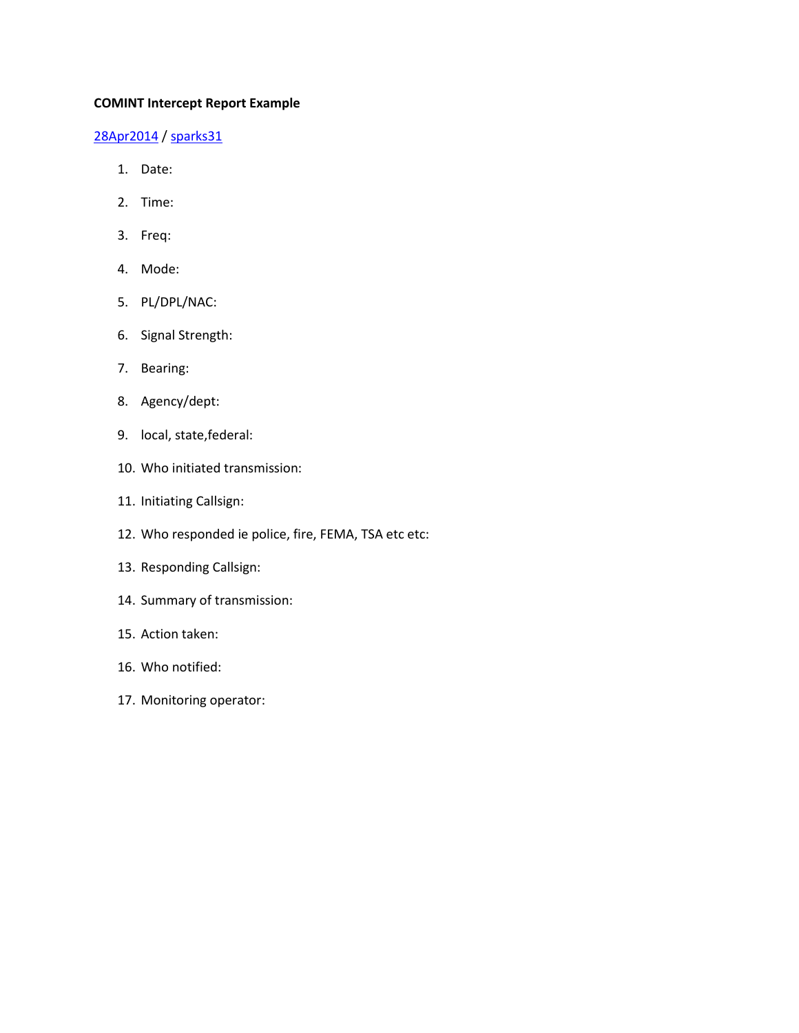## **COMINT Intercept Report Example**

## [28Apr2014](https://sparks31.wordpress.com/2014/04/28/comint-intercept-report-example/) [/ sparks31](https://sparks31.wordpress.com/author/sparks31/)

- 1. Date:
- 2. Time:
- 3. Freq:
- 4. Mode:
- 5. PL/DPL/NAC:
- 6. Signal Strength:
- 7. Bearing:
- 8. Agency/dept:
- 9. local, state,federal:
- 10. Who initiated transmission:
- 11. Initiating Callsign:
- 12. Who responded ie police, fire, FEMA, TSA etc etc:
- 13. Responding Callsign:
- 14. Summary of transmission:
- 15. Action taken:
- 16. Who notified:
- 17. Monitoring operator: